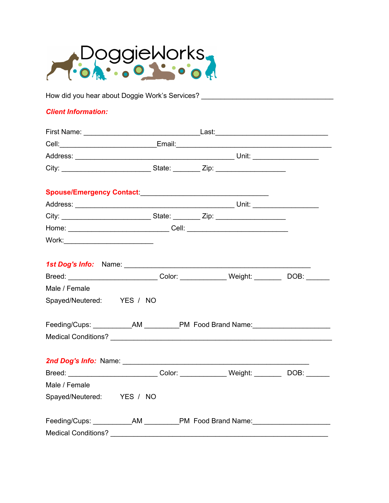

How did you hear about Doggie Work's Services? \_\_\_\_\_\_\_\_\_\_\_\_\_\_\_\_\_\_\_\_\_\_\_\_\_\_\_\_\_\_\_\_\_

### **Client Information:**

| Home: __________________________________Cell: __________________________________                              |  |  |  |
|---------------------------------------------------------------------------------------------------------------|--|--|--|
|                                                                                                               |  |  |  |
| 1st Dog's Info: Name: 2008 2009 2010 2020 2021 2022 2023 2024 2022 2022 2023 2024 2022 2023 2024 2022 2023 20 |  |  |  |
| Breed: ____________________________Color: ______________Weight: ___________DOB: _______                       |  |  |  |
| Male / Female                                                                                                 |  |  |  |
| Spayed/Neutered: YES / NO                                                                                     |  |  |  |
| Feeding/Cups: ____________AM ___________PM Food Brand Name: ____________________                              |  |  |  |
|                                                                                                               |  |  |  |
|                                                                                                               |  |  |  |
| Breed: ____________________________Color: ______________Weight: ___________DOB: _______                       |  |  |  |
| Male / Female                                                                                                 |  |  |  |
| Spayed/Neutered: YES / NO                                                                                     |  |  |  |
| Feeding/Cups: ____________AM ___________PM Food Brand Name: ____________________                              |  |  |  |
|                                                                                                               |  |  |  |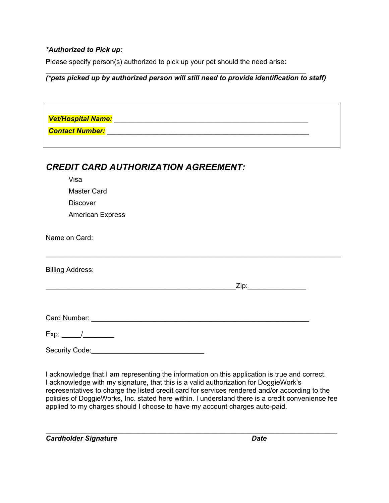## *\*Authorized to Pick up:*

Please specify person(s) authorized to pick up your pet should the need arise:

## *(\*pets picked up by authorized person will still need to provide identification to staff)*

\_\_\_\_\_\_\_\_\_\_\_\_\_\_\_\_\_\_\_\_\_\_\_\_\_\_\_\_\_\_\_\_\_\_\_\_\_\_\_\_\_\_\_\_\_\_\_\_\_\_\_\_\_\_\_\_\_\_\_\_\_\_\_\_\_\_\_

| <b>CREDIT CARD AUTHORIZATION AGREEMENT:</b> |  |  |  |  |
|---------------------------------------------|--|--|--|--|
| Visa                                        |  |  |  |  |
| <b>Master Card</b>                          |  |  |  |  |
| <b>Discover</b>                             |  |  |  |  |
| <b>American Express</b>                     |  |  |  |  |
| Name on Card:                               |  |  |  |  |
| <b>Billing Address:</b>                     |  |  |  |  |
| _Zip:________________________               |  |  |  |  |
|                                             |  |  |  |  |
|                                             |  |  |  |  |
|                                             |  |  |  |  |
| Security Code:                              |  |  |  |  |

I acknowledge that I am representing the information on this application is true and correct. I acknowledge with my signature, that this is a valid authorization for DoggieWork's representatives to charge the listed credit card for services rendered and/or according to the policies of DoggieWorks, Inc. stated here within. I understand there is a credit convenience fee applied to my charges should I choose to have my account charges auto-paid.

\_\_\_\_\_\_\_\_\_\_\_\_\_\_\_\_\_\_\_\_\_\_\_\_\_\_\_\_\_\_\_\_\_\_\_\_\_\_\_\_\_\_\_\_\_\_\_\_\_\_\_\_\_\_\_\_\_\_\_\_\_\_\_\_\_\_\_\_\_\_\_\_\_\_\_ *Cardholder Signature Date*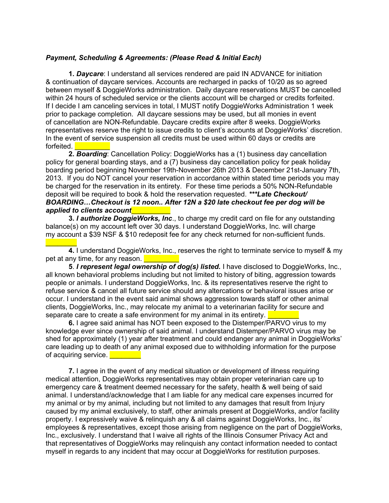### *Payment, Scheduling & Agreements: (Please Read & Initial Each)*

**1.** *Daycare*: I understand all services rendered are paid IN ADVANCE for initiation & continuation of daycare services. Accounts are recharged in packs of 10/20 as so agreed between myself & DoggieWorks administration. Daily daycare reservations MUST be cancelled within 24 hours of scheduled service or the clients account will be charged or credits forfeited. If I decide I am canceling services in total, I MUST notify DoggieWorks Administration 1 week prior to package completion. All daycare sessions may be used, but all monies in event of cancellation are NON-Refundable. Daycare credits expire after 8 weeks. DoggieWorks representatives reserve the right to issue credits to client's accounts at DoggieWorks' discretion. In the event of service suspension all credits must be used within 60 days or credits are forfeited.

**2.** *Boarding*: Cancellation Policy: DoggieWorks has a (1) business day cancellation policy for general boarding stays, and a (7) business day cancellation policy for peak holiday boarding period beginning November 19th-November 26th 2013 & December 21st-January 7th, 2013. If you do NOT cancel your reservation in accordance within stated time periods you may be charged for the reservation in its entirety. For these time periods a 50% NON-Refundable deposit will be required to book & hold the reservation requested. *\*\*\*Late Checkout/ BOARDING…Checkout is 12 noon.. After 12N a \$20 late checkout fee per dog will be applied to clients account*\_\_\_\_\_\_\_\_\_\_

**3.** *I authorize DoggieWorks, Inc*., to charge my credit card on file for any outstanding balance(s) on my account left over 30 days. I understand DoggieWorks, Inc. will charge my account a \$39 NSF & \$10 redeposit fee for any check returned for non-sufficient funds.

 $\frac{1}{2}$ **4.** I understand DoggieWorks, Inc., reserves the right to terminate service to myself & my pet at any time, for any reason.

**5**. *I represent legal ownership of dog(s) listed.* I have disclosed to DoggieWorks, Inc., all known behavioral problems including but not limited to history of biting, aggression towards people or animals. I understand DoggieWorks, Inc. & its representatives reserve the right to refuse service & cancel all future service should any altercations or behavioral issues arise or occur. I understand in the event said animal shows aggression towards staff or other animal clients, DoggieWorks, Inc., may relocate my animal to a veterinarian facility for secure and separate care to create a safe environment for my animal in its entirety.

**6.** I agree said animal has NOT been exposed to the Distemper/PARVO virus to my knowledge ever since ownership of said animal. I understand Distemper/PARVO virus may be shed for approximately (1) year after treatment and could endanger any animal in DoggieWorks' care leading up to death of any animal exposed due to withholding information for the purpose of acquiring service.

**7.** I agree in the event of any medical situation or development of illness requiring medical attention, DoggieWorks representatives may obtain proper veterinarian care up to emergency care & treatment deemed necessary for the safety, health & well being of said animal. I understand/acknowledge that I am liable for any medical care expenses incurred for my animal or by my animal, including but not limited to any damages that result from Injury caused by my animal exclusively, to staff, other animals present at DoggieWorks, and/or facility property. I expressively waive & relinquish any & all claims against DoggieWorks, Inc., its' employees & representatives, except those arising from negligence on the part of DoggieWorks, Inc., exclusively. I understand that I waive all rights of the Illinois Consumer Privacy Act and that representatives of DoggieWorks may relinquish any contact information needed to contact myself in regards to any incident that may occur at DoggieWorks for restitution purposes.